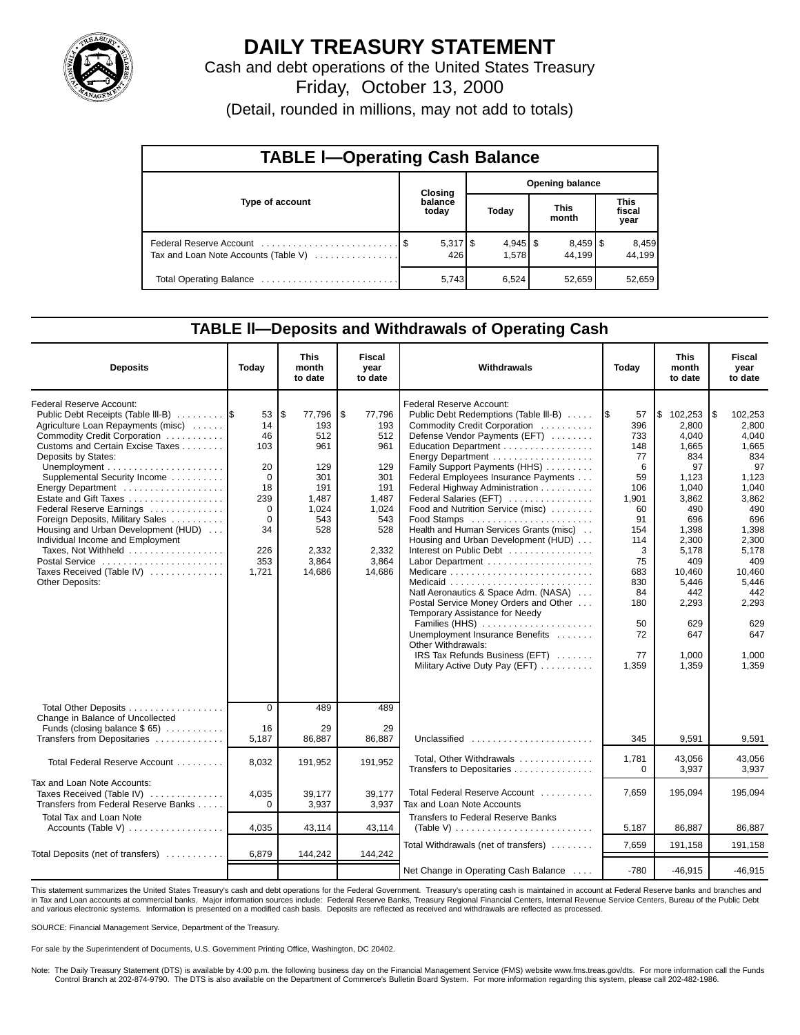

## **DAILY TREASURY STATEMENT**

Cash and debt operations of the United States Treasury

Friday, October 13, 2000

(Detail, rounded in millions, may not add to totals)

| <b>TABLE I-Operating Cash Balance</b> |  |                  |                        |                     |  |                                 |                               |                 |  |  |
|---------------------------------------|--|------------------|------------------------|---------------------|--|---------------------------------|-------------------------------|-----------------|--|--|
|                                       |  | Closing          | <b>Opening balance</b> |                     |  |                                 |                               |                 |  |  |
| Type of account                       |  | balance<br>today |                        | Today               |  | <b>This</b><br>month            | <b>This</b><br>fiscal<br>year |                 |  |  |
| Tax and Loan Note Accounts (Table V)  |  | 426              |                        | $4,945$ \$<br>1.578 |  | $8,459$ $\frac{8}{3}$<br>44.199 |                               | 8,459<br>44.199 |  |  |
|                                       |  | 5,743            |                        | 6,524               |  | 52.659                          |                               | 52,659          |  |  |

### **TABLE ll—Deposits and Withdrawals of Operating Cash**

| <b>Deposits</b>                                                                                                                                                                                                                                                                                                                                                                                                                                                                              | Today                                                                                              | <b>This</b><br>month<br>to date                                                                                    | Fiscal<br>vear<br>to date                                                                                          | Withdrawals                                                                                                                                                                                                                                                                                                                                                                                                                                                                                                                                                                                                                                                                                                                                                          | Today                                                                                                                                                      | <b>This</b><br>month<br>to date                                                                                                                                                                             | <b>Fiscal</b><br>year<br>to date                                                                                                                                                                      |
|----------------------------------------------------------------------------------------------------------------------------------------------------------------------------------------------------------------------------------------------------------------------------------------------------------------------------------------------------------------------------------------------------------------------------------------------------------------------------------------------|----------------------------------------------------------------------------------------------------|--------------------------------------------------------------------------------------------------------------------|--------------------------------------------------------------------------------------------------------------------|----------------------------------------------------------------------------------------------------------------------------------------------------------------------------------------------------------------------------------------------------------------------------------------------------------------------------------------------------------------------------------------------------------------------------------------------------------------------------------------------------------------------------------------------------------------------------------------------------------------------------------------------------------------------------------------------------------------------------------------------------------------------|------------------------------------------------------------------------------------------------------------------------------------------------------------|-------------------------------------------------------------------------------------------------------------------------------------------------------------------------------------------------------------|-------------------------------------------------------------------------------------------------------------------------------------------------------------------------------------------------------|
| Federal Reserve Account:<br>Public Debt Receipts (Table III-B)<br>Agriculture Loan Repayments (misc)<br>Commodity Credit Corporation<br>Customs and Certain Excise Taxes<br>Deposits by States:<br>Supplemental Security Income<br>Estate and Gift Taxes<br>Federal Reserve Earnings<br>Foreign Deposits, Military Sales<br>Housing and Urban Development (HUD)<br>Individual Income and Employment<br>Taxes, Not Withheld<br>Postal Service<br>Taxes Received (Table IV)<br>Other Deposits: | 53<br>14<br>46<br>103<br>20<br>$\Omega$<br>18<br>239<br>0<br>$\Omega$<br>34<br>226<br>353<br>1,721 | \$<br>77,796<br>193<br>512<br>961<br>129<br>301<br>191<br>1.487<br>1,024<br>543<br>528<br>2,332<br>3,864<br>14,686 | \$<br>77,796<br>193<br>512<br>961<br>129<br>301<br>191<br>1.487<br>1,024<br>543<br>528<br>2,332<br>3,864<br>14,686 | Federal Reserve Account:<br>Public Debt Redemptions (Table III-B)<br>Commodity Credit Corporation<br>Defense Vendor Payments (EFT)<br>Education Department<br>Energy Department<br>Family Support Payments (HHS)<br>Federal Employees Insurance Payments<br>Federal Highway Administration<br>Federal Salaries (EFT)<br>Food and Nutrition Service (misc)<br>Food Stamps<br>Health and Human Services Grants (misc).<br>Housing and Urban Development (HUD)<br>Interest on Public Debt<br>Medicare<br>Natl Aeronautics & Space Adm. (NASA)<br>Postal Service Money Orders and Other<br>Temporary Assistance for Needy<br>Families (HHS)<br>Unemployment Insurance Benefits<br>Other Withdrawals:<br>IRS Tax Refunds Business (EFT)<br>Military Active Duty Pay (EFT) | I\$<br>57<br>396<br>733<br>148<br>77<br>6<br>59<br>106<br>1,901<br>60<br>91<br>154<br>114<br>3<br>75<br>683<br>830<br>84<br>180<br>50<br>72<br>77<br>1,359 | $\frac{1}{2}$ 102,253<br>2.800<br>4.040<br>1,665<br>834<br>97<br>1,123<br>1.040<br>3.862<br>490<br>696<br>1.398<br>2,300<br>5,178<br>409<br>10,460<br>5,446<br>442<br>2,293<br>629<br>647<br>1.000<br>1,359 | l \$<br>102.253<br>2.800<br>4.040<br>1,665<br>834<br>97<br>1.123<br>1.040<br>3.862<br>490<br>696<br>1,398<br>2,300<br>5,178<br>409<br>10,460<br>5,446<br>442<br>2,293<br>629<br>647<br>1,000<br>1,359 |
| Total Other Deposits<br>Change in Balance of Uncollected<br>Funds (closing balance $$65$ )<br>Transfers from Depositaries                                                                                                                                                                                                                                                                                                                                                                    | $\overline{0}$<br>16<br>5,187                                                                      | 489<br>29<br>86.887                                                                                                | 489<br>29<br>86,887                                                                                                | Unclassified                                                                                                                                                                                                                                                                                                                                                                                                                                                                                                                                                                                                                                                                                                                                                         | 345                                                                                                                                                        | 9,591                                                                                                                                                                                                       | 9,591                                                                                                                                                                                                 |
| Total Federal Reserve Account                                                                                                                                                                                                                                                                                                                                                                                                                                                                | 8,032                                                                                              | 191,952                                                                                                            | 191,952                                                                                                            | Total, Other Withdrawals<br>Transfers to Depositaries                                                                                                                                                                                                                                                                                                                                                                                                                                                                                                                                                                                                                                                                                                                | 1,781<br>$\Omega$                                                                                                                                          | 43,056<br>3,937                                                                                                                                                                                             | 43,056<br>3,937                                                                                                                                                                                       |
| Tax and Loan Note Accounts:<br>Taxes Received (Table IV)<br>Transfers from Federal Reserve Banks                                                                                                                                                                                                                                                                                                                                                                                             | 4.035<br>$\Omega$                                                                                  | 39,177<br>3,937                                                                                                    | 39.177<br>3.937                                                                                                    | Total Federal Reserve Account<br>Tax and Loan Note Accounts                                                                                                                                                                                                                                                                                                                                                                                                                                                                                                                                                                                                                                                                                                          | 7.659                                                                                                                                                      | 195,094                                                                                                                                                                                                     | 195,094                                                                                                                                                                                               |
| <b>Total Tax and Loan Note</b>                                                                                                                                                                                                                                                                                                                                                                                                                                                               | 4,035                                                                                              | 43,114                                                                                                             | 43,114                                                                                                             | <b>Transfers to Federal Reserve Banks</b><br>(Table V) $\ldots \ldots \ldots \ldots \ldots \ldots \ldots \ldots$                                                                                                                                                                                                                                                                                                                                                                                                                                                                                                                                                                                                                                                     | 5,187                                                                                                                                                      | 86,887                                                                                                                                                                                                      | 86,887                                                                                                                                                                                                |
| Total Deposits (net of transfers)                                                                                                                                                                                                                                                                                                                                                                                                                                                            | 6,879                                                                                              | 144,242                                                                                                            | 144,242                                                                                                            | Total Withdrawals (net of transfers)                                                                                                                                                                                                                                                                                                                                                                                                                                                                                                                                                                                                                                                                                                                                 | 7.659                                                                                                                                                      | 191,158                                                                                                                                                                                                     | 191,158                                                                                                                                                                                               |
|                                                                                                                                                                                                                                                                                                                                                                                                                                                                                              |                                                                                                    |                                                                                                                    |                                                                                                                    | Net Change in Operating Cash Balance                                                                                                                                                                                                                                                                                                                                                                                                                                                                                                                                                                                                                                                                                                                                 | $-780$                                                                                                                                                     | $-46,915$                                                                                                                                                                                                   | $-46,915$                                                                                                                                                                                             |

This statement summarizes the United States Treasury's cash and debt operations for the Federal Government. Treasury's operating cash is maintained in account at Federal Reserve banks and branches and in Tax and Loan accounts at commercial banks. Major information sources include: Federal Reserve Banks, Treasury Regional Financial Centers, Internal Revenue Service Centers, Bureau of the Public Debt and various electronic systems. Information is presented on a modified cash basis. Deposits are reflected as received and withdrawals are reflected as processed.

SOURCE: Financial Management Service, Department of the Treasury.

For sale by the Superintendent of Documents, U.S. Government Printing Office, Washington, DC 20402.

Note: The Daily Treasury Statement (DTS) is available by 4:00 p.m. the following business day on the Financial Management Service (FMS) website www.fms.treas.gov/dts. For more information call the Funds Control Branch at 202-874-9790. The DTS is also available on the Department of Commerce's Bulletin Board System. For more information regarding this system, please call 202-482-1986.